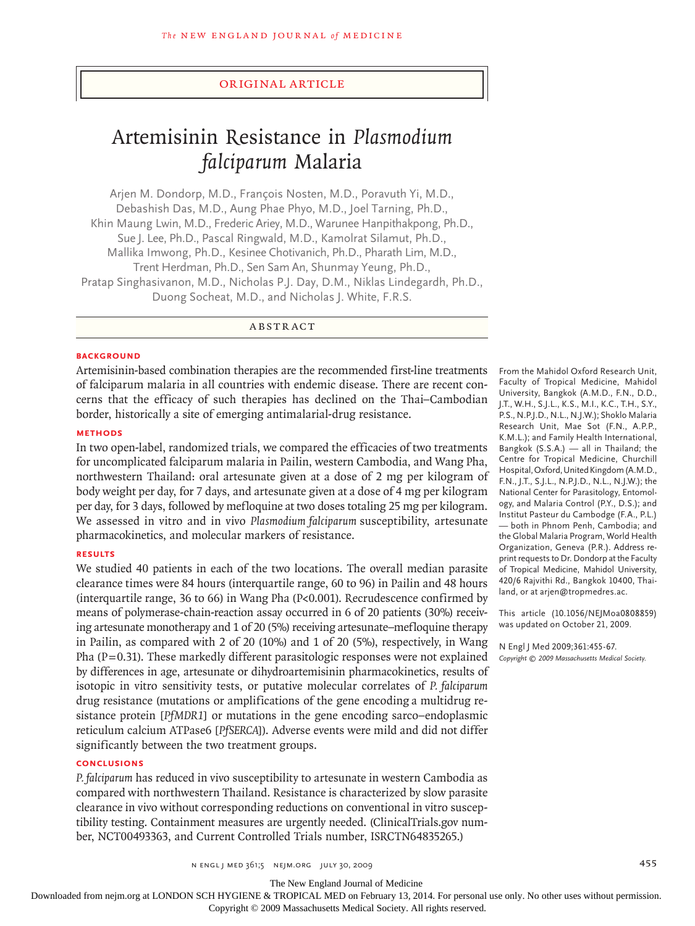### original article

# Artemisinin Resistance in *Plasmodium falciparum* Malaria

Arjen M. Dondorp, M.D., François Nosten, M.D., Poravuth Yi, M.D., Debashish Das, M.D., Aung Phae Phyo, M.D., Joel Tarning, Ph.D., Khin Maung Lwin, M.D., Frederic Ariey, M.D., Warunee Hanpithakpong, Ph.D., Sue J. Lee, Ph.D., Pascal Ringwald, M.D., Kamolrat Silamut, Ph.D., Mallika Imwong, Ph.D., Kesinee Chotivanich, Ph.D., Pharath Lim, M.D., Trent Herdman, Ph.D., Sen Sam An, Shunmay Yeung, Ph.D., Pratap Singhasivanon, M.D., Nicholas P.J. Day, D.M., Niklas Lindegardh, Ph.D., Duong Socheat, M.D., and Nicholas J. White, F.R.S.

ABSTRACT

#### **BACKGROUND**

Artemisinin-based combination therapies are the recommended first-line treatments of falciparum malaria in all countries with endemic disease. There are recent concerns that the efficacy of such therapies has declined on the Thai–Cambodian border, historically a site of emerging antimalarial-drug resistance.

#### **METHODS**

In two open-label, randomized trials, we compared the efficacies of two treatments for uncomplicated falciparum malaria in Pailin, western Cambodia, and Wang Pha, northwestern Thailand: oral artesunate given at a dose of 2 mg per kilogram of body weight per day, for 7 days, and artesunate given at a dose of 4 mg per kilogram per day, for 3 days, followed by mefloquine at two doses totaling 25 mg per kilogram. We assessed in vitro and in vivo *Plasmodium falciparum* susceptibility, artesunate pharmacokinetics, and molecular markers of resistance.

# **RESULTS**

We studied 40 patients in each of the two locations. The overall median parasite clearance times were 84 hours (interquartile range, 60 to 96) in Pailin and 48 hours (interquartile range, 36 to 66) in Wang Pha (P<0.001). Recrudescence confirmed by means of polymerase-chain-reaction assay occurred in 6 of 20 patients (30%) receiving artesunate monotherapy and 1 of 20 (5%) receiving artesunate–mefloquine therapy in Pailin, as compared with 2 of 20 (10%) and 1 of 20 (5%), respectively, in Wang Pha  $(P=0.31)$ . These markedly different parasitologic responses were not explained by differences in age, artesunate or dihydroartemisinin pharmacokinetics, results of isotopic in vitro sensitivity tests, or putative molecular correlates of *P. falciparum*  drug resistance (mutations or amplifications of the gene encoding a multidrug resistance protein [*PfMDR1*] or mutations in the gene encoding sarco–endoplasmic reticulum calcium ATPase6 [*PfSERCA*]). Adverse events were mild and did not differ significantly between the two treatment groups.

# **CONCLUSIONS**

*P. falciparum* has reduced in vivo susceptibility to artesunate in western Cambodia as compared with northwestern Thailand. Resistance is characterized by slow parasite clearance in vivo without corresponding reductions on conventional in vitro susceptibility testing. Containment measures are urgently needed. (ClinicalTrials.gov number, NCT00493363, and Current Controlled Trials number, ISRCTN64835265.)

From the Mahidol Oxford Research Unit, Faculty of Tropical Medicine, Mahidol University, Bangkok (A.M.D., F.N., D.D., J.T., W.H., S.J.L., K.S., M.I., K.C., T.H., S.Y., P.S., N.P.J.D., N.L., N.J.W.); Shoklo Malaria Research Unit, Mae Sot (F.N., A.P.P., K.M.L.); and Family Health International, Bangkok  $(S.S.A.)$  — all in Thailand; the Centre for Tropical Medicine, Churchill Hospital, Oxford, United Kingdom (A.M.D., F.N., J.T., S.J.L., N.P.J.D., N.L., N.J.W.); the National Center for Parasitology, Entomology, and Malaria Control (P.Y., D.S.); and Institut Pasteur du Cambodge (F.A., P.L.) — both in Phnom Penh, Cambodia; and the Global Malaria Program, World Health Organization, Geneva (P.R.). Address reprint requests to Dr. Dondorp at the Faculty of Tropical Medicine, Mahidol University, 420/6 Rajvithi Rd., Bangkok 10400, Thailand, or at arjen@tropmedres.ac.

This article (10.1056/NEJMoa0808859) was updated on October 21, 2009.

N Engl J Med 2009;361:455-67. *Copyright © 2009 Massachusetts Medical Society.*

The New England Journal of Medicine

Downloaded from nejm.org at LONDON SCH HYGIENE & TROPICAL MED on February 13, 2014. For personal use only. No other uses without permission.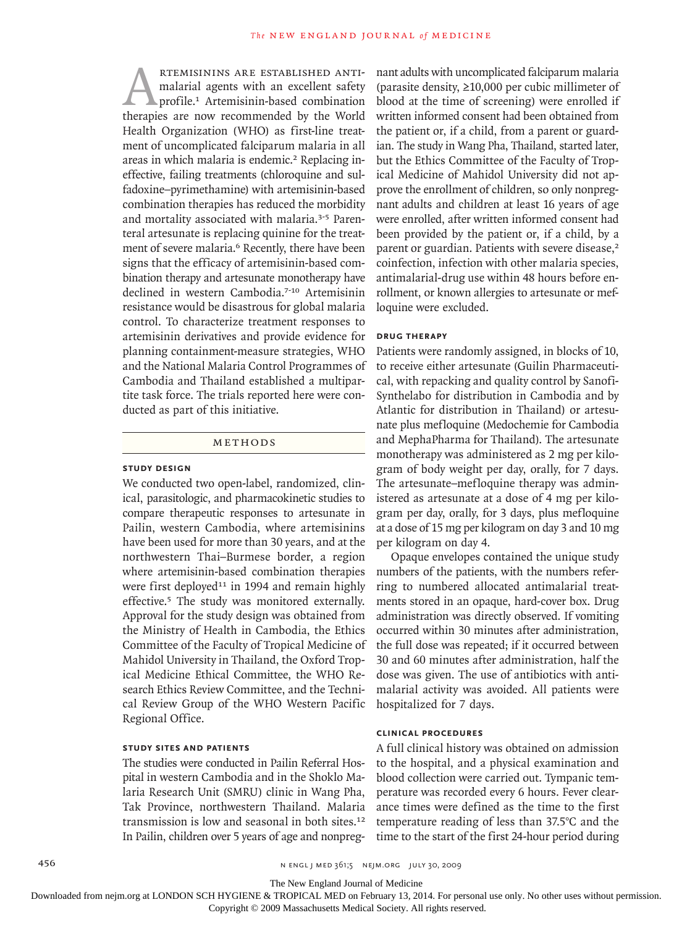ARTEMISININS ARE ESTABLISHED ANTI-<br>malarial agents with an excellent safety<br>profile.<sup>1</sup> Artemisinin-based combination<br>therapies are now recommended by the World malarial agents with an excellent safety profile.1 Artemisinin-based combination therapies are now recommended by the World Health Organization (WHO) as first-line treatment of uncomplicated falciparum malaria in all areas in which malaria is endemic.<sup>2</sup> Replacing ineffective, failing treatments (chloroquine and sulfadoxine–pyrimethamine) with artemisinin-based combination therapies has reduced the morbidity and mortality associated with malaria.<sup>3-5</sup> Parenteral artesunate is replacing quinine for the treatment of severe malaria.<sup>6</sup> Recently, there have been signs that the efficacy of artemisinin-based combination therapy and artesunate monotherapy have declined in western Cambodia.7-10 Artemisinin resistance would be disastrous for global malaria control. To characterize treatment responses to artemisinin derivatives and provide evidence for planning containment-measure strategies, WHO and the National Malaria Control Programmes of Cambodia and Thailand established a multipartite task force. The trials reported here were conducted as part of this initiative.

#### Methods

# **Study design**

We conducted two open-label, randomized, clinical, parasitologic, and pharmacokinetic studies to compare therapeutic responses to artesunate in Pailin, western Cambodia, where artemisinins have been used for more than 30 years, and at the northwestern Thai–Burmese border, a region where artemisinin-based combination therapies were first deployed<sup>11</sup> in 1994 and remain highly effective.5 The study was monitored externally. Approval for the study design was obtained from the Ministry of Health in Cambodia, the Ethics Committee of the Faculty of Tropical Medicine of Mahidol University in Thailand, the Oxford Tropical Medicine Ethical Committee, the WHO Research Ethics Review Committee, and the Technical Review Group of the WHO Western Pacific Regional Office.

#### **Study Sites and Patients**

The studies were conducted in Pailin Referral Hospital in western Cambodia and in the Shoklo Malaria Research Unit (SMRU) clinic in Wang Pha, Tak Province, northwestern Thailand. Malaria transmission is low and seasonal in both sites.<sup>12</sup> In Pailin, children over 5 years of age and nonpregnant adults with uncomplicated falciparum malaria (parasite density, ≥10,000 per cubic millimeter of blood at the time of screening) were enrolled if written informed consent had been obtained from the patient or, if a child, from a parent or guardian. The study in Wang Pha, Thailand, started later, but the Ethics Committee of the Faculty of Tropical Medicine of Mahidol University did not approve the enrollment of children, so only nonpregnant adults and children at least 16 years of age were enrolled, after written informed consent had been provided by the patient or, if a child, by a parent or guardian. Patients with severe disease,<sup>2</sup> coinfection, infection with other malaria species, antimalarial-drug use within 48 hours before enrollment, or known allergies to artesunate or mefloquine were excluded.

#### **Drug Therapy**

Patients were randomly assigned, in blocks of 10, to receive either artesunate (Guilin Pharmaceutical, with repacking and quality control by Sanofi-Synthelabo for distribution in Cambodia and by Atlantic for distribution in Thailand) or artesunate plus mefloquine (Medochemie for Cambodia and MephaPharma for Thailand). The artesunate monotherapy was administered as 2 mg per kilogram of body weight per day, orally, for 7 days. The artesunate–mefloquine therapy was administered as artesunate at a dose of 4 mg per kilogram per day, orally, for 3 days, plus mefloquine at a dose of 15 mg per kilogram on day 3 and 10 mg per kilogram on day 4.

Opaque envelopes contained the unique study numbers of the patients, with the numbers referring to numbered allocated antimalarial treatments stored in an opaque, hard-cover box. Drug administration was directly observed. If vomiting occurred within 30 minutes after administration, the full dose was repeated; if it occurred between 30 and 60 minutes after administration, half the dose was given. The use of antibiotics with antimalarial activity was avoided. All patients were hospitalized for 7 days.

# **Clinical Procedures**

A full clinical history was obtained on admission to the hospital, and a physical examination and blood collection were carried out. Tympanic temperature was recorded every 6 hours. Fever clearance times were defined as the time to the first temperature reading of less than 37.5°C and the time to the start of the first 24-hour period during

The New England Journal of Medicine

Downloaded from nejm.org at LONDON SCH HYGIENE & TROPICAL MED on February 13, 2014. For personal use only. No other uses without permission.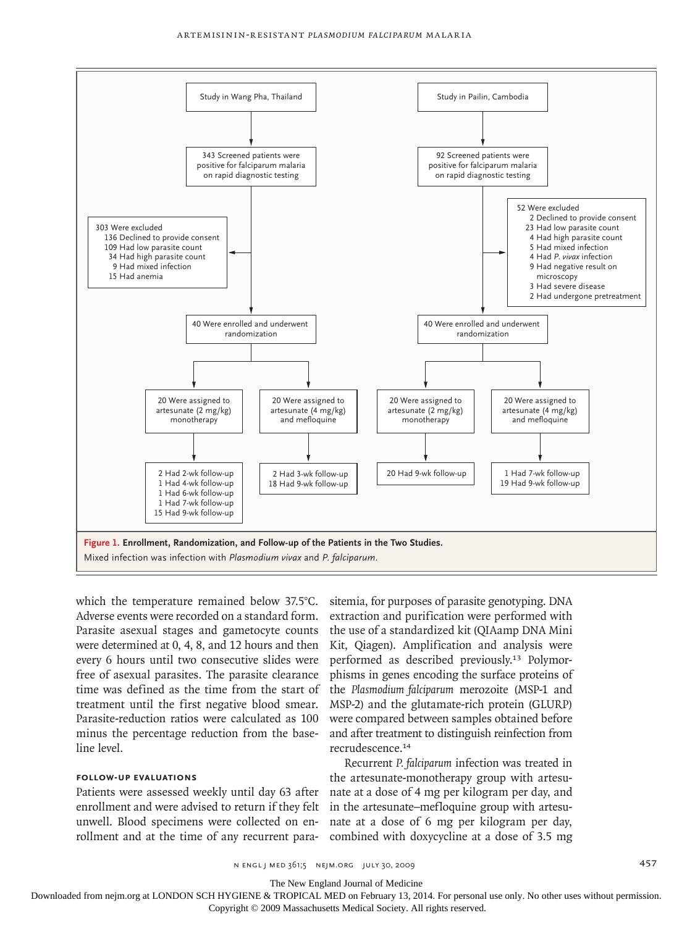

which the temperature remained below 37.5°C. Adverse events were recorded on a standard form. Parasite asexual stages and gametocyte counts t were determined at 0, 4, 8, and 12 hours and then Kit, Qiagen). Amplification and analysis were every 6 hours until two consecutive slides were free of asexual parasites. The parasite clearance ph time was defined as the time from the start of treatment until the first negative blood smear. Parasite-reduction ratios were calculated as 100 minus the percentage reduction from the baseline level.

# **Follow-up Evaluations**

Patients were assessed weekly until day 63 after enrollment and were advised to return if they felt unwell. Blood specimens were collected on enrollment and at the time of any recurrent para-

sitemia, for purposes of parasite genotyping. DNA extraction and purification were performed with the use of a standardized kit (QIAamp DNA Mini performed as described previously.<sup>13</sup> Polymorphisms in genes encoding the surface proteins of phisms in genes encount<sub>u</sub> the same process of the *Plasmodium falciparum* merozoite (MSP-1 and MSP-2) and the glutamate-rich protein (GLURP) as 100 were compared between samples obtained before and after treatment to distinguish reinfection from recrudescence.<sup>14</sup> clearance phisms in genes encoding t Kit, Qiagen). Amplification

> Recurrent *P. falciparum* infection was treated in the artesunate-monotherapy group with artesunate at a dose of 4 mg per kilogram per day, and in the artesunate–mefloquine group with artesunate at a dose of 6 mg per kilogram per day, combined with doxycycline at a dose of 3.5 mg

The New England Journal of Medicine

Downloaded from nejm.org at LONDON SCH HYGIENE & TROPICAL MED on February 13, 2014. For personal use only. No other uses without permission.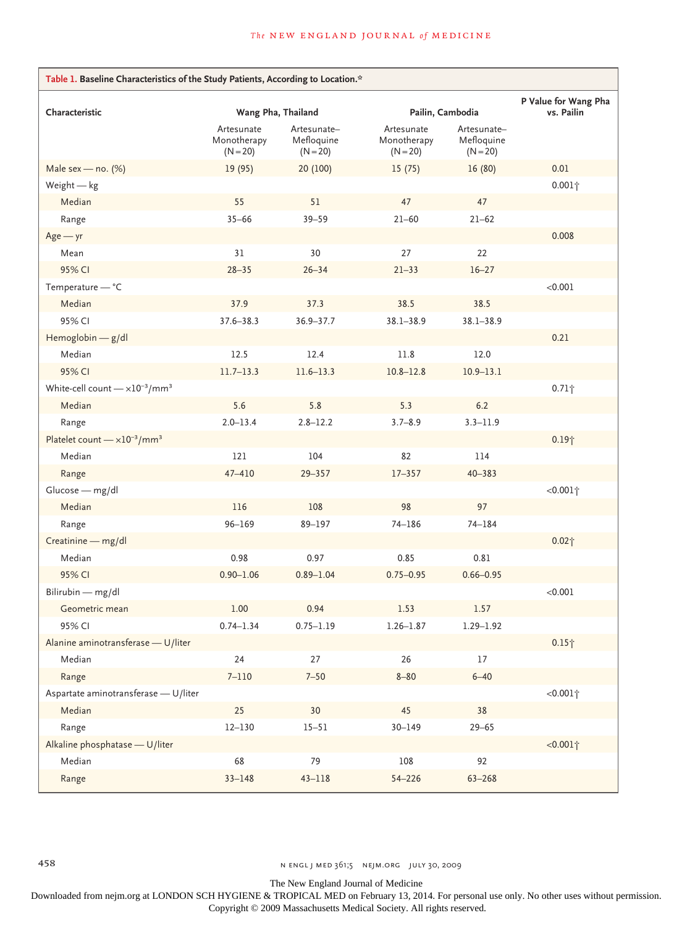| Table 1. Baseline Characteristics of the Study Patients, According to Location.* |                                         |                                         |                                         |                                         |                                    |
|----------------------------------------------------------------------------------|-----------------------------------------|-----------------------------------------|-----------------------------------------|-----------------------------------------|------------------------------------|
| Characteristic                                                                   | Wang Pha, Thailand                      |                                         | Pailin, Cambodia                        |                                         | P Value for Wang Pha<br>vs. Pailin |
|                                                                                  | Artesunate<br>Monotherapy<br>$(N = 20)$ | Artesunate-<br>Mefloquine<br>$(N = 20)$ | Artesunate<br>Monotherapy<br>$(N = 20)$ | Artesunate-<br>Mefloquine<br>$(N = 20)$ |                                    |
| Male sex - no. $(\%)$                                                            | 19(95)                                  | 20 (100)                                | 15(75)                                  | 16(80)                                  | 0.01                               |
| Weight $-$ kg                                                                    |                                         |                                         |                                         |                                         | $0.001$ <sup>+</sup>               |
| Median                                                                           | 55                                      | 51                                      | 47                                      | 47                                      |                                    |
| Range                                                                            | $35 - 66$                               | $39 - 59$                               | $21 - 60$                               | $21 - 62$                               |                                    |
| $Age - yr$                                                                       |                                         |                                         |                                         |                                         | 0.008                              |
| Mean                                                                             | 31                                      | 30                                      | 27                                      | 22                                      |                                    |
| 95% CI                                                                           | $28 - 35$                               | $26 - 34$                               | $21 - 33$                               | $16 - 27$                               |                                    |
| Temperature - °C                                                                 |                                         |                                         |                                         |                                         | < 0.001                            |
| Median                                                                           | 37.9                                    | 37.3                                    | 38.5                                    | 38.5                                    |                                    |
| 95% CI                                                                           | 37.6-38.3                               | $36.9 - 37.7$                           | $38.1 - 38.9$                           | $38.1 - 38.9$                           |                                    |
| Hemoglobin - g/dl                                                                |                                         |                                         |                                         |                                         | 0.21                               |
| Median                                                                           | 12.5                                    | 12.4                                    | 11.8                                    | 12.0                                    |                                    |
| 95% CI                                                                           | $11.7 - 13.3$                           | $11.6 - 13.3$                           | $10.8 - 12.8$                           | $10.9 - 13.1$                           |                                    |
| White-cell count $-x10^{-3}/$ mm <sup>3</sup>                                    |                                         |                                         |                                         |                                         | $0.71$ <sup>+</sup>                |
| Median                                                                           | 5.6                                     | 5.8                                     | 5.3                                     | 6.2                                     |                                    |
| Range                                                                            | $2.0 - 13.4$                            | $2.8 - 12.2$                            | $3.7 - 8.9$                             | $3.3 - 11.9$                            |                                    |
| Platelet count $-x10^{-3}/mm^3$                                                  |                                         |                                         |                                         |                                         | 0.19 <sub>1</sub>                  |
| Median                                                                           | 121                                     | 104                                     | 82                                      | 114                                     |                                    |
| Range                                                                            | 47-410                                  | $29 - 357$                              | $17 - 357$                              | $40 - 383$                              |                                    |
| Glucose - mg/dl                                                                  |                                         |                                         |                                         |                                         | $<0.001$ <sup>*</sup>              |
| Median                                                                           | 116                                     | 108                                     | 98                                      | 97                                      |                                    |
| Range                                                                            | $96 - 169$                              | 89-197                                  | 74-186                                  | $74 - 184$                              |                                    |
| Creatinine - mg/dl                                                               |                                         |                                         |                                         |                                         | $0.02 +$                           |
| Median                                                                           | 0.98                                    | 0.97                                    | 0.85                                    | 0.81                                    |                                    |
| 95% CI                                                                           | $0.90 - 1.06$                           | $0.89 - 1.04$                           | $0.75 - 0.95$                           | $0.66 - 0.95$                           |                                    |
| Bilirubin — mg/dl                                                                |                                         |                                         |                                         |                                         | < 0.001                            |
| Geometric mean                                                                   | 1.00                                    | 0.94                                    | 1.53                                    | 1.57                                    |                                    |
| 95% CI                                                                           | $0.74 - 1.34$                           | $0.75 - 1.19$                           | $1.26 - 1.87$                           | $1.29 - 1.92$                           |                                    |
| Alanine aminotransferase - U/liter                                               |                                         |                                         |                                         |                                         | $0.15\dagger$                      |
| Median                                                                           | $24\,$                                  | 27                                      | 26                                      | $17\,$                                  |                                    |
| Range                                                                            | $7 - 110$                               | $7 - 50$                                | $8 - 80$                                | $6 - 40$                                |                                    |
| Aspartate aminotransferase - U/liter                                             |                                         |                                         |                                         |                                         | $< 0.001$ <sup>*</sup>             |
| Median                                                                           | 25                                      | 30                                      | 45                                      | 38                                      |                                    |
| Range                                                                            | $12 - 130$                              | $15 - 51$                               | $30 - 149$                              | $29 - 65$                               |                                    |
| Alkaline phosphatase - U/liter                                                   |                                         |                                         |                                         |                                         | $< 0.001$ <sup>+</sup>             |
| Median                                                                           | 68                                      | 79                                      | 108                                     | 92                                      |                                    |
| Range                                                                            | $33 - 148$                              | $43 - 118$                              | $54 - 226$                              | $63 - 268$                              |                                    |

458 n engl j med 361;5 nejm.org july 30, 2009

The New England Journal of Medicine

Downloaded from nejm.org at LONDON SCH HYGIENE & TROPICAL MED on February 13, 2014. For personal use only. No other uses without permission.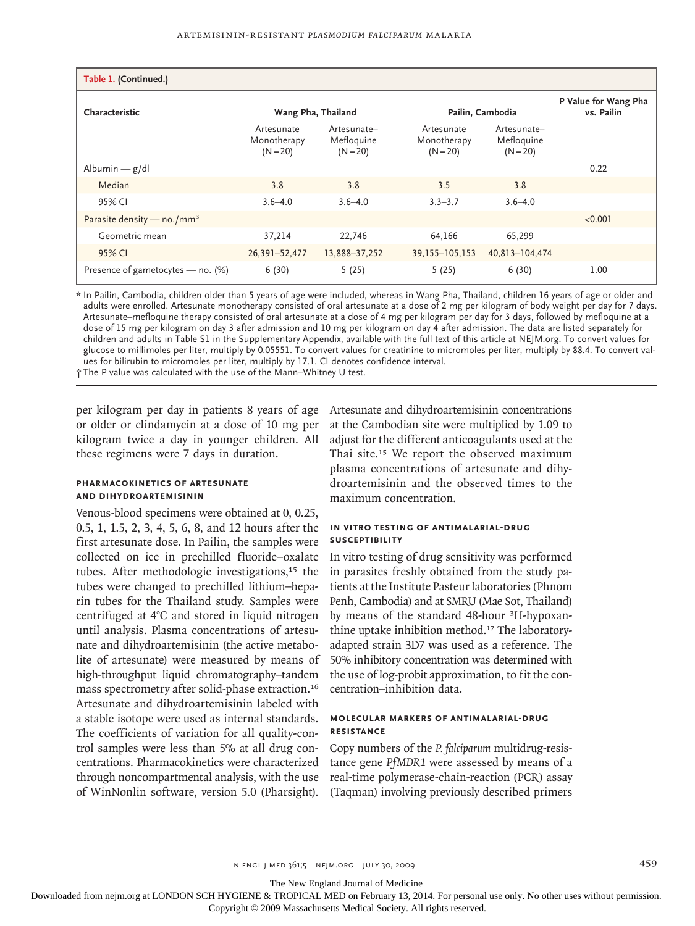| Table 1. (Continued.)                  |                                         |                                         |                                         |                                         |                                    |
|----------------------------------------|-----------------------------------------|-----------------------------------------|-----------------------------------------|-----------------------------------------|------------------------------------|
| Characteristic                         |                                         | Wang Pha, Thailand                      |                                         | Pailin, Cambodia                        | P Value for Wang Pha<br>vs. Pailin |
|                                        | Artesunate<br>Monotherapy<br>$(N = 20)$ | Artesunate-<br>Mefloquine<br>$(N = 20)$ | Artesunate<br>Monotherapy<br>$(N = 20)$ | Artesunate-<br>Mefloquine<br>$(N = 20)$ |                                    |
| Albumin $-g/dl$                        |                                         |                                         |                                         |                                         | 0.22                               |
| Median                                 | 3.8                                     | 3.8                                     | 3.5                                     | 3.8                                     |                                    |
| 95% CI                                 | $3.6 - 4.0$                             | $3.6 - 4.0$                             | $3.3 - 3.7$                             | $3.6 - 4.0$                             |                                    |
| Parasite density - no./mm <sup>3</sup> |                                         |                                         |                                         |                                         | < 0.001                            |
| Geometric mean                         | 37,214                                  | 22,746                                  | 64,166                                  | 65,299                                  |                                    |
| 95% CI                                 | 26,391-52,477                           | 13,888-37,252                           | 39,155-105,153                          | 40,813-104,474                          |                                    |
| Presence of gametocytes - no. (%)      | 6(30)                                   | 5(25)                                   | 5(25)                                   | 6(30)                                   | 1.00                               |

\* In Pailin, Cambodia, children older than 5 years of age were included, whereas in Wang Pha, Thailand, children 16 years of age or older and adults were enrolled. Artesunate monotherapy consisted of oral artesunate at a dose of 2 mg per kilogram of body weight per day for 7 days. Artesunate–mefloquine therapy consisted of oral artesunate at a dose of 4 mg per kilogram per day for 3 days, followed by mefloquine at a dose of 15 mg per kilogram on day 3 after admission and 10 mg per kilogram on day 4 after admission. The data are listed separately for children and adults in Table S1 in the Supplementary Appendix, available with the full text of this article at NEJM.org. To convert values for glucose to millimoles per liter, multiply by 0.05551. To convert values for creatinine to micromoles per liter, multiply by 88.4. To convert values for bilirubin to micromoles per liter, multiply by 17.1. CI denotes confidence interval.

† The P value was calculated with the use of the Mann–Whitney U test.

or older or clindamycin at a dose of 10 mg per kilogram twice a day in younger children. All these regimens were 7 days in duration.

# **Pharmacokinetics of Artesunate and Dihydroartemisinin**

Venous-blood specimens were obtained at 0, 0.25, 0.5, 1, 1.5, 2, 3, 4, 5, 6, 8, and 12 hours after the first artesunate dose. In Pailin, the samples were collected on ice in prechilled fluoride–oxalate tubes. After methodologic investigations,<sup>15</sup> the tubes were changed to prechilled lithium–heparin tubes for the Thailand study. Samples were centrifuged at 4°C and stored in liquid nitrogen until analysis. Plasma concentrations of artesunate and dihydroartemisinin (the active metabolite of artesunate) were measured by means of high-throughput liquid chromatography–tandem mass spectrometry after solid-phase extraction.<sup>16</sup> Artesunate and dihydroartemisinin labeled with a stable isotope were used as internal standards. The coefficients of variation for all quality-control samples were less than 5% at all drug concentrations. Pharmacokinetics were characterized through noncompartmental analysis, with the use of WinNonlin software, version 5.0 (Pharsight).

per kilogram per day in patients 8 years of age Artesunate and dihydroartemisinin concentrations at the Cambodian site were multiplied by 1.09 to adjust for the different anticoagulants used at the Thai site.15 We report the observed maximum plasma concentrations of artesunate and dihydroartemisinin and the observed times to the maximum concentration.

# **In Vitro Testing of Antimalarial-Drug Susceptibility**

In vitro testing of drug sensitivity was performed in parasites freshly obtained from the study patients at the Institute Pasteur laboratories (Phnom Penh, Cambodia) and at SMRU (Mae Sot, Thailand) by means of the standard 48-hour <sup>3</sup>H-hypoxanthine uptake inhibition method.17 The laboratoryadapted strain 3D7 was used as a reference. The 50% inhibitory concentration was determined with the use of log-probit approximation, to fit the concentration–inhibition data.

# **Molecular Markers of Antimalarial-Drug Resistance**

Copy numbers of the *P. falciparum* multidrug-resistance gene *PfMDR1* were assessed by means of a real-time polymerase-chain-reaction (PCR) assay (Taqman) involving previously described primers

The New England Journal of Medicine

Downloaded from nejm.org at LONDON SCH HYGIENE & TROPICAL MED on February 13, 2014. For personal use only. No other uses without permission.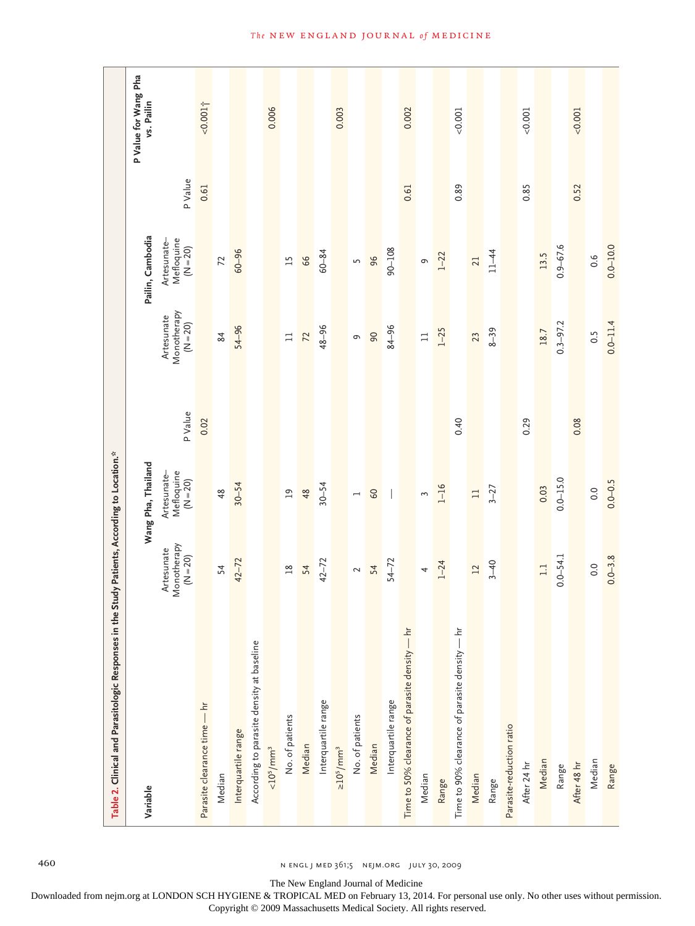|                                                | Table 2. Clinical and Parasitologic Responses in the Study Patients, According to Location. <sup>24</sup> |                                       |         |                                     |                                         |         |                                    |
|------------------------------------------------|-----------------------------------------------------------------------------------------------------------|---------------------------------------|---------|-------------------------------------|-----------------------------------------|---------|------------------------------------|
| Variable                                       |                                                                                                           | Wang Pha, Thailand                    |         |                                     | Pailin, Cambodia                        |         | P Value for Wang Pha<br>vs. Pailin |
|                                                | Monotherapy<br>(N=20)<br>Artesunate                                                                       | Artesunate–<br>Mefloquine<br>(N = 20) | P Value | Artesunate<br>Monotherapy<br>(N=20) | Artesunate-<br>Mefloquine<br>$(N = 20)$ | P Value |                                    |
| Parasite clearance time - hr                   |                                                                                                           |                                       | 0.02    |                                     |                                         | 0.61    | $-0.001$                           |
| Median                                         | 54                                                                                                        | 48                                    |         | 84                                  | $\overline{z}$                          |         |                                    |
| Interquartile range                            | $42 - 72$                                                                                                 | $30 - 54$                             |         | $54 - 96$                           | $60 - 96$                               |         |                                    |
| According to parasite density at baseline      |                                                                                                           |                                       |         |                                     |                                         |         |                                    |
| $<$ 10 <sup>5</sup> /mm <sup>3</sup>           |                                                                                                           |                                       |         |                                     |                                         |         | 0.006                              |
| No. of patients                                | $^{18}$                                                                                                   | $\overline{19}$                       |         | $\square$                           | $\overline{15}$                         |         |                                    |
| Median                                         | 54                                                                                                        | 48                                    |         | 72                                  | 66                                      |         |                                    |
| Interquartile range                            | $42 - 72$                                                                                                 | $30 - 54$                             |         | $48 - 96$                           | $60 - 84$                               |         |                                    |
| $\geq 10^{5}/mm^{3}$                           |                                                                                                           |                                       |         |                                     |                                         |         | 0.003                              |
| No. of patients                                | $\sim$                                                                                                    | $\overline{\phantom{a}}$              |         | G                                   | $\mathsf{L}\cap$                        |         |                                    |
| Median                                         | 54                                                                                                        | $60$                                  |         | 90                                  | $\frac{8}{3}$                           |         |                                    |
| Interquartile range                            | $54 - 72$                                                                                                 | $\overline{\phantom{a}}$              |         | 84-96                               | 90-108                                  |         |                                    |
| Time to 50% clearance of parasite density - hr |                                                                                                           |                                       |         |                                     |                                         | 0.61    | 0.002                              |
| Median                                         | $\blacktriangleleft$                                                                                      | 3                                     |         | $\Box$                              | $\sigma$                                |         |                                    |
| Range                                          | $1 - 24$                                                                                                  | $1 - 16$                              |         | $1 - 25$                            | $1 - 22$                                |         |                                    |
| Time to 90% clearance of parasite density — hr |                                                                                                           |                                       | 0.40    |                                     |                                         | 0.89    | 0.001                              |
| Median                                         | $\overline{12}$                                                                                           | $\Box$                                |         | 23                                  | 21                                      |         |                                    |
| Range                                          | $3 - 40$                                                                                                  | $3 - 27$                              |         | $8 - 39$                            | $11 - 44$                               |         |                                    |
| Parasite-reduction ratio                       |                                                                                                           |                                       |         |                                     |                                         |         |                                    |
| After 24 hr                                    |                                                                                                           |                                       | 0.29    |                                     |                                         | 0.85    | 0.001                              |
| Median                                         | $\Box$                                                                                                    | 0.03                                  |         | 18.7                                | 13.5                                    |         |                                    |
| Range                                          | $0.0 - 54.1$                                                                                              | $0.0 - 15.0$                          |         | $0.3 - 97.2$                        | $0.9 - 67.6$                            |         |                                    |
| After 48 hr                                    |                                                                                                           |                                       | 0.08    |                                     |                                         | 0.52    | < 0.001                            |
| Median                                         | 0.0                                                                                                       | 0.0                                   |         | 0.5                                 | 0.6                                     |         |                                    |
| Range                                          | $0.0 - 3.8$                                                                                               | $0.0 - 0.5$                           |         | $0.0 - 11.4$                        | $0.0 - 10.0$                            |         |                                    |

# **The NEW ENGLAND JOURNAL of MEDICINE**

The New England Journal of Medicine

Downloaded from nejm.org at LONDON SCH HYGIENE & TROPICAL MED on February 13, 2014. For personal use only. No other uses without permission.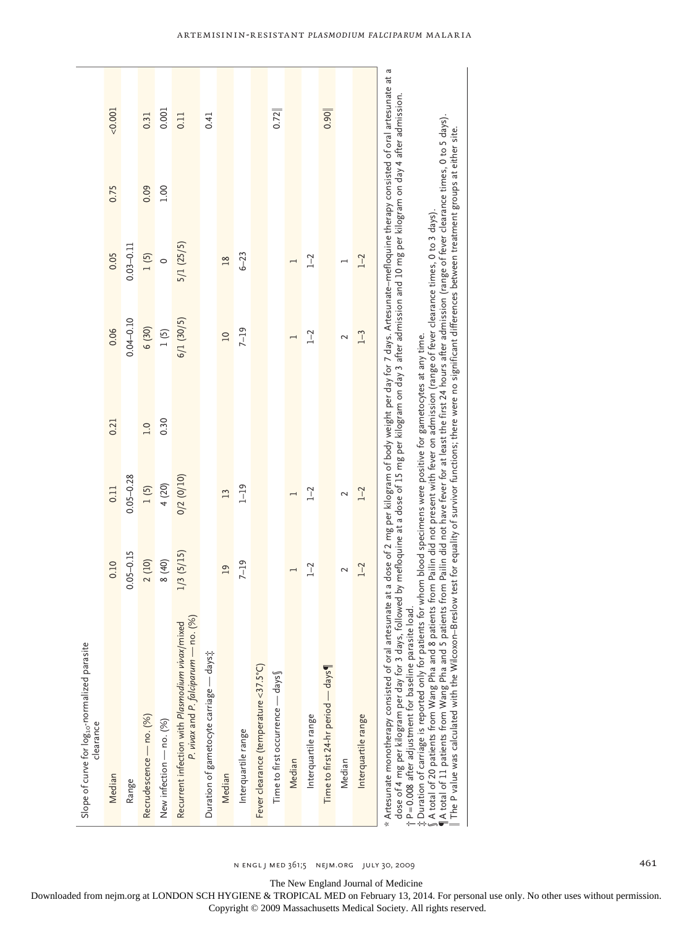| Slope of curve for log <sub>10</sub> -normalized parasite<br>clearance                                                                                                                                                                                                                                                                                                                                                                                                                                                                                                                                                                                                |                |               |      |                |                 |      |          |
|-----------------------------------------------------------------------------------------------------------------------------------------------------------------------------------------------------------------------------------------------------------------------------------------------------------------------------------------------------------------------------------------------------------------------------------------------------------------------------------------------------------------------------------------------------------------------------------------------------------------------------------------------------------------------|----------------|---------------|------|----------------|-----------------|------|----------|
| Median                                                                                                                                                                                                                                                                                                                                                                                                                                                                                                                                                                                                                                                                | 0.10           | 0.11          | 0.21 | 0.06           | 0.05            | 0.75 | $-0.001$ |
| Range                                                                                                                                                                                                                                                                                                                                                                                                                                                                                                                                                                                                                                                                 | $0.05 - 0.15$  | $0.05 - 0.28$ |      | $0.04 - 0.10$  | $0.03 - 0.11$   |      |          |
| Recrudescence - no. (%)                                                                                                                                                                                                                                                                                                                                                                                                                                                                                                                                                                                                                                               | 2(10)          | 1(5)          | 1.0  | 6 (30)         | 1(5)            | 0.09 | 0.31     |
| New infection - no. (%)                                                                                                                                                                                                                                                                                                                                                                                                                                                                                                                                                                                                                                               | 8 (40)         | 4(20)         | 0.30 | 1(5)           | $\circ$         | 1.00 | 0.001    |
| Recurrent infection with Plasmodium vivax/mixed<br>P. vivax and P. falciparum — no. $($ %                                                                                                                                                                                                                                                                                                                                                                                                                                                                                                                                                                             | $1/3$ (5/15)   | 0/2 (0/10)    |      | 6/1 (30/5)     | 5/1 (25/5)      |      | 0.11     |
| Duration of gametocyte carriage — $\tt day$ s $\ddot{\tau}$                                                                                                                                                                                                                                                                                                                                                                                                                                                                                                                                                                                                           |                |               |      |                |                 |      | 0.41     |
| Median                                                                                                                                                                                                                                                                                                                                                                                                                                                                                                                                                                                                                                                                | $\overline{a}$ | 13            |      | $\overline{a}$ | $\overline{18}$ |      |          |
| Interquartile range                                                                                                                                                                                                                                                                                                                                                                                                                                                                                                                                                                                                                                                   | $7 - 19$       | $1 - 19$      |      | $7 - 19$       | $6 - 23$        |      |          |
| Fever clearance (temperature <37.5°C)                                                                                                                                                                                                                                                                                                                                                                                                                                                                                                                                                                                                                                 |                |               |      |                |                 |      |          |
| Time to first occurrence — days                                                                                                                                                                                                                                                                                                                                                                                                                                                                                                                                                                                                                                       |                |               |      |                |                 |      | 0.72     |
| Median                                                                                                                                                                                                                                                                                                                                                                                                                                                                                                                                                                                                                                                                |                |               |      |                |                 |      |          |
| Interquartile range                                                                                                                                                                                                                                                                                                                                                                                                                                                                                                                                                                                                                                                   | $1 - 2$        | $1 - 2$       |      | $1 - 2$        | $1 - 2$         |      |          |
| Time to first 24-hr period — days                                                                                                                                                                                                                                                                                                                                                                                                                                                                                                                                                                                                                                     |                |               |      |                |                 |      | 0.90     |
| Median                                                                                                                                                                                                                                                                                                                                                                                                                                                                                                                                                                                                                                                                | $\sim$         | 2             |      | 2              |                 |      |          |
| Interquartile range                                                                                                                                                                                                                                                                                                                                                                                                                                                                                                                                                                                                                                                   | $1 - 2$        | $1 - 2$       |      | $1 - 3$        | $1 - 2$         |      |          |
| * Artesunate monotherapy consisted of oral artesunate at a dose of 2 mg per kilogram of body weight per day for 7 days. Artesunate-mefloquine therapy consisted of oral artesunate at a<br>dose of 4 mg per kilogram per day for 3 days, followed by mefloquine at a dose of 15 mg per kilogram on day 3 after admission and 10 mg per kilogram on day 4 after admission.<br>‡ Duration of carriage is reported only for patients for whom blood specimens were positive for gametocytes at any time.<br>§ A total of 20 patients from Wang Pha and 8 patients from Pailin did not present with fever on admi<br>P=0.008 after adjustment for baseline parasite load. |                |               |      |                |                 |      |          |

The P value was calculated with the Wilcoxon–Breslow test for equality of survivor functions; there were no significant differences between treatment groups at either site.  $\parallel$  The P value was calculated with the Wilcoxon–Breslow test for equality of survivor functions; there were no significant differences between treatment groups at either site.

∏ α

The New England Journal of Medicine

Downloaded from nejm.org at LONDON SCH HYGIENE & TROPICAL MED on February 13, 2014. For personal use only. No other uses without permission.

Copyright © 2009 Massachusetts Medical Society. All rights reserved.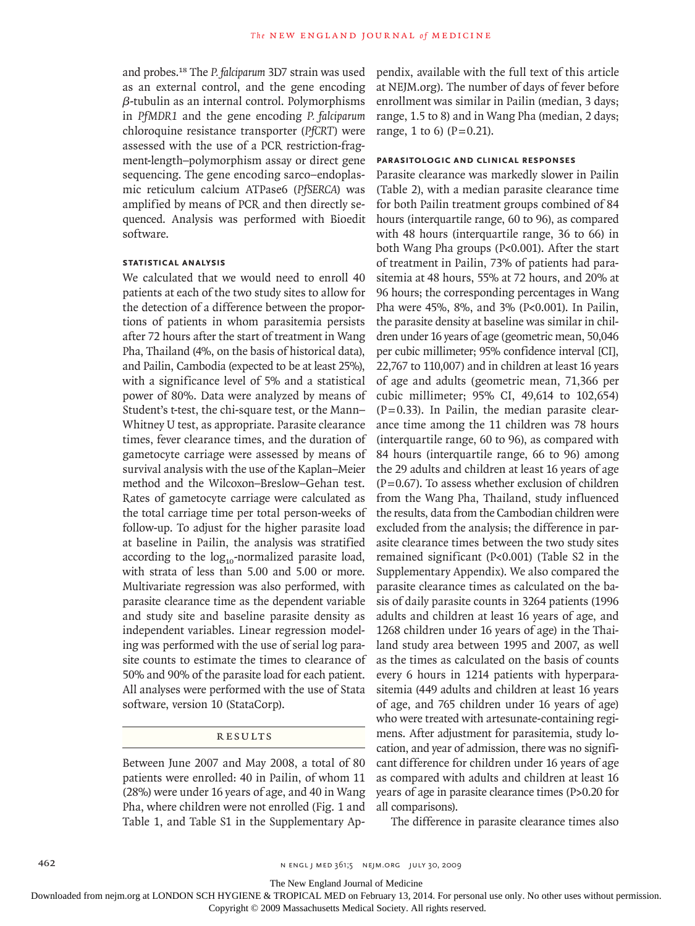and probes.18 The *P. falciparum* 3D7 strain was used as an external control, and the gene encoding β-tubulin as an internal control. Polymorphisms in *PfMDR1* and the gene encoding *P. falciparum* chloroquine resistance transporter (*PfCRT*) were assessed with the use of a PCR restriction-fragment-length–polymorphism assay or direct gene sequencing. The gene encoding sarco–endoplasmic reticulum calcium ATPase6 (*PfSERCA*) was amplified by means of PCR and then directly sequenced. Analysis was performed with Bioedit software.

# **Statistical Analysis**

We calculated that we would need to enroll 40 patients at each of the two study sites to allow for the detection of a difference between the proportions of patients in whom parasitemia persists after 72 hours after the start of treatment in Wang Pha, Thailand (4%, on the basis of historical data), and Pailin, Cambodia (expected to be at least 25%), with a significance level of 5% and a statistical power of 80%. Data were analyzed by means of Student's t-test, the chi-square test, or the Mann– Whitney U test, as appropriate. Parasite clearance times, fever clearance times, and the duration of gametocyte carriage were assessed by means of survival analysis with the use of the Kaplan–Meier method and the Wilcoxon–Breslow–Gehan test. Rates of gametocyte carriage were calculated as the total carriage time per total person-weeks of follow-up. To adjust for the higher parasite load at baseline in Pailin, the analysis was stratified according to the  $log_{10}$ -normalized parasite load, with strata of less than 5.00 and 5.00 or more. Multivariate regression was also performed, with parasite clearance time as the dependent variable and study site and baseline parasite density as independent variables. Linear regression modeling was performed with the use of serial log parasite counts to estimate the times to clearance of 50% and 90% of the parasite load for each patient. All analyses were performed with the use of Stata software, version 10 (StataCorp).

# **RESULTS**

Between June 2007 and May 2008, a total of 80 patients were enrolled: 40 in Pailin, of whom 11 (28%) were under 16 years of age, and 40 in Wang Pha, where children were not enrolled (Fig. 1 and Table 1, and Table S1 in the Supplementary Appendix, available with the full text of this article at NEJM.org). The number of days of fever before enrollment was similar in Pailin (median, 3 days; range, 1.5 to 8) and in Wang Pha (median, 2 days; range, 1 to 6) ( $P = 0.21$ ).

## **Parasitologic and Clinical Responses**

Parasite clearance was markedly slower in Pailin (Table 2), with a median parasite clearance time for both Pailin treatment groups combined of 84 hours (interquartile range, 60 to 96), as compared with 48 hours (interquartile range, 36 to 66) in both Wang Pha groups (P<0.001). After the start of treatment in Pailin, 73% of patients had parasitemia at 48 hours, 55% at 72 hours, and 20% at 96 hours; the corresponding percentages in Wang Pha were 45%, 8%, and 3% (P<0.001). In Pailin, the parasite density at baseline was similar in children under 16 years of age (geometric mean, 50,046 per cubic millimeter; 95% confidence interval [CI], 22,767 to 110,007) and in children at least 16 years of age and adults (geometric mean, 71,366 per cubic millimeter; 95% CI, 49,614 to 102,654)  $(P=0.33)$ . In Pailin, the median parasite clearance time among the 11 children was 78 hours (interquartile range, 60 to 96), as compared with 84 hours (interquartile range, 66 to 96) among the 29 adults and children at least 16 years of age  $(P=0.67)$ . To assess whether exclusion of children from the Wang Pha, Thailand, study influenced the results, data from the Cambodian children were excluded from the analysis; the difference in parasite clearance times between the two study sites remained significant (P<0.001) (Table S2 in the Supplementary Appendix). We also compared the parasite clearance times as calculated on the basis of daily parasite counts in 3264 patients (1996 adults and children at least 16 years of age, and 1268 children under 16 years of age) in the Thailand study area between 1995 and 2007, as well as the times as calculated on the basis of counts every 6 hours in 1214 patients with hyperparasitemia (449 adults and children at least 16 years of age, and 765 children under 16 years of age) who were treated with artesunate-containing regimens. After adjustment for parasitemia, study location, and year of admission, there was no significant difference for children under 16 years of age as compared with adults and children at least 16 years of age in parasite clearance times (P>0.20 for all comparisons).

The difference in parasite clearance times also

The New England Journal of Medicine

Downloaded from nejm.org at LONDON SCH HYGIENE & TROPICAL MED on February 13, 2014. For personal use only. No other uses without permission.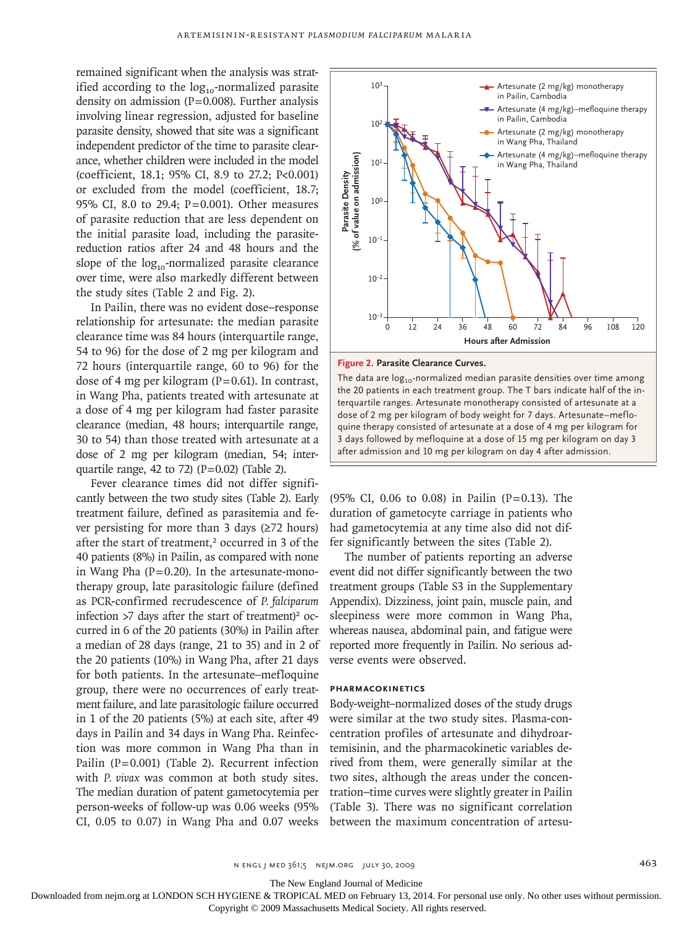remained significant when the analysis was stratified according to the  $log_{10}$ -normalized parasite density on admission  $(P=0.008)$ . Further analysis involving linear regression, adjusted for baseline parasite density, showed that site was a significant independent predictor of the time to parasite clearance, whether children were included in the model (coefficient, 18.1; 95% CI, 8.9 to 27.2; P<0.001) or excluded from the model (coefficient, 18.7; 95% CI, 8.0 to 29.4; P=0.001). Other measures of parasite reduction that are less dependent on the initial parasite load, including the parasitereduction ratios after 24 and 48 hours and the slope of the  $log_{10}$ -normalized parasite clearance over time, were also markedly different between the study sites (Table 2 and Fig. 2).

In Pailin, there was no evident dose–response relationship for artesunate: the median parasite clearance time was 84 hours (interquartile range, 54 to 96) for the dose of 2 mg per kilogram and 72 hours (interquartile range, 60 to 96) for the dose of 4 mg per kilogram  $(P=0.61)$ . In contrast, in Wang Pha, patients treated with artesunate at a dose of 4 mg per kilogram had faster parasite clearance (median, 48 hours; interquartile range, 30 to 54) than those treated with artesunate at a dose of 2 mg per kilogram (median, 54; interquartile range, 42 to 72) ( $P=0.02$ ) (Table 2).

Fever clearance times did not differ significantly between the two study sites (Table 2). Early treatment failure, defined as parasitemia and fever persisting for more than 3 days (≥72 hours) after the start of treatment,<sup>2</sup> occurred in 3 of the 40 patients (8%) in Pailin, as compared with none in Wang Pha  $(P=0.20)$ . In the artesunate-monotherapy group, late parasitologic failure (defined as PCR-confirmed recrudescence of *P. falciparum* infection  $>7$  days after the start of treatment)<sup>2</sup> occurred in 6 of the 20 patients (30%) in Pailin after a median of 28 days (range, 21 to 35) and in 2 of the 20 patients (10%) in Wang Pha, after 21 days for both patients. In the artesunate–mefloquine group, there were no occurrences of early treatment failure, and late parasitologic failure occurred in 1 of the 20 patients (5%) at each site, after 49 days in Pailin and 34 days in Wang Pha. Reinfection was more common in Wang Pha than in Pailin (P=0.001) (Table 2). Recurrent infection with *P. vivax* was common at both study sites. The median duration of patent gametocytemia per person-weeks of follow-up was 0.06 weeks (95% CI, 0.05 to 0.07) in Wang Pha and 0.07 weeks



**Figure 2. Parasite Clearance Curves.**

game therapy consisted or artestinate at a dose of 4 mg per kilogram for<br>3 days followed by mefloquine at a dose of 15 mg per kilogram on day 3 the 20 patients in each treatment group. The T bars indicate half of the inges. Artesunate monotherapy consisted of artesuna quine therapy consisted of artesunate at a dose of 4 mg per kilogram for dose of 2 mg per kilogram of body weight for 7 days. Artesunate–meflo- $\overline{\phantom{0}}$ after admission and 10 mg per kilogram on day 4 after admission.<br>. terquartile ranges. Artesunate monotherapy consisted of artesunate at a The data are  $log_{10}$ -normalized median parasite densities over time among

**Figure has been redrawn and type has been reset.**

 $(95\% \text{ CI}, 0.06 \text{ to } 0.08) \text{ in Pain (P=0.13)}.$  The duration of gametocyte carriage in patients who had gametocytemia at any time also did not differ significantly between the sites (Table 2).

The number of patients reporting an adverse event did not differ significantly between the two treatment groups (Table S3 in the Supplementary Appendix). Dizziness, joint pain, muscle pain, and sleepiness were more common in Wang Pha, whereas nausea, abdominal pain, and fatigue were reported more frequently in Pailin. No serious adverse events were observed.

#### **Pharmacokinetics**

Body-weight–normalized doses of the study drugs were similar at the two study sites. Plasma-concentration profiles of artesunate and dihydroartemisinin, and the pharmacokinetic variables derived from them, were generally similar at the two sites, although the areas under the concentration–time curves were slightly greater in Pailin (Table 3). There was no significant correlation between the maximum concentration of artesu-

The New England Journal of Medicine

Downloaded from nejm.org at LONDON SCH HYGIENE & TROPICAL MED on February 13, 2014. For personal use only. No other uses without permission.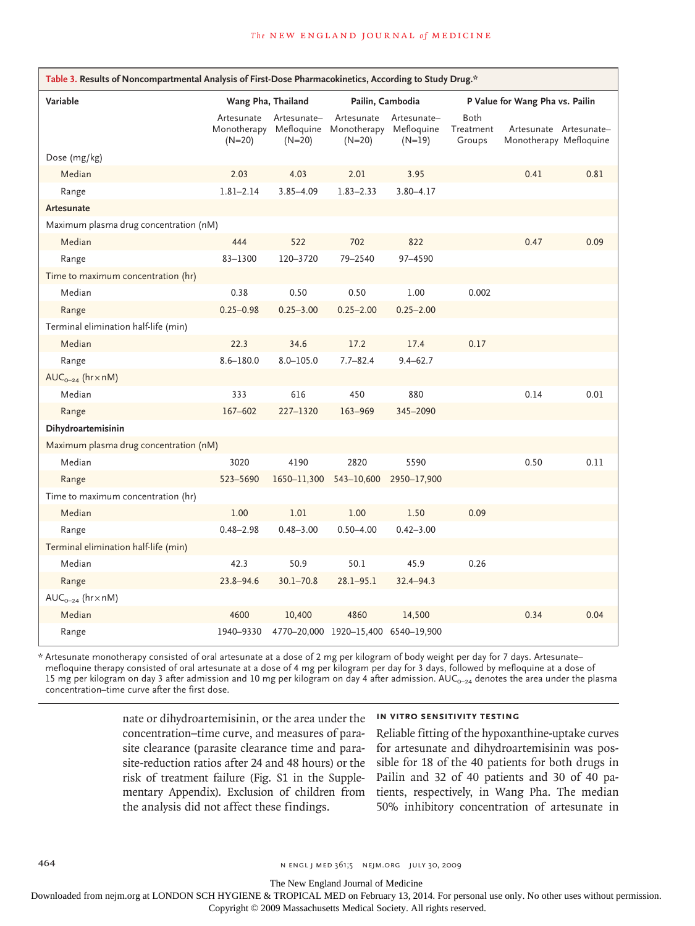| Table 3. Results of Noncompartmental Analysis of First-Dose Pharmacokinetics, According to Study Drug.* |                        |                                                   |                                                  |                         |                             |                                 |                        |
|---------------------------------------------------------------------------------------------------------|------------------------|---------------------------------------------------|--------------------------------------------------|-------------------------|-----------------------------|---------------------------------|------------------------|
| Variable                                                                                                | Wang Pha, Thailand     |                                                   | Pailin, Cambodia                                 |                         |                             | P Value for Wang Pha vs. Pailin |                        |
|                                                                                                         | Artesunate<br>$(N=20)$ | Artesunate-<br>Monotherapy Mefloquine<br>$(N=20)$ | Artesunate<br>Monotherapy Mefloquine<br>$(N=20)$ | Artesunate-<br>$(N=19)$ | Both<br>Treatment<br>Groups | Monotherapy Mefloquine          | Artesunate Artesunate- |
| Dose (mg/kg)                                                                                            |                        |                                                   |                                                  |                         |                             |                                 |                        |
| Median                                                                                                  | 2.03                   | 4.03                                              | 2.01                                             | 3.95                    |                             | 0.41                            | 0.81                   |
| Range                                                                                                   | $1.81 - 2.14$          | $3.85 - 4.09$                                     | $1.83 - 2.33$                                    | $3.80 - 4.17$           |                             |                                 |                        |
| Artesunate                                                                                              |                        |                                                   |                                                  |                         |                             |                                 |                        |
| Maximum plasma drug concentration (nM)                                                                  |                        |                                                   |                                                  |                         |                             |                                 |                        |
| Median                                                                                                  | 444                    | 522                                               | 702                                              | 822                     |                             | 0.47                            | 0.09                   |
| Range                                                                                                   | 83-1300                | 120-3720                                          | 79-2540                                          | 97-4590                 |                             |                                 |                        |
| Time to maximum concentration (hr)                                                                      |                        |                                                   |                                                  |                         |                             |                                 |                        |
| Median                                                                                                  | 0.38                   | 0.50                                              | 0.50                                             | 1.00                    | 0.002                       |                                 |                        |
| Range                                                                                                   | $0.25 - 0.98$          | $0.25 - 3.00$                                     | $0.25 - 2.00$                                    | $0.25 - 2.00$           |                             |                                 |                        |
| Terminal elimination half-life (min)                                                                    |                        |                                                   |                                                  |                         |                             |                                 |                        |
| Median                                                                                                  | 22.3                   | 34.6                                              | 17.2                                             | 17.4                    | 0.17                        |                                 |                        |
| Range                                                                                                   | $8.6 - 180.0$          | $8.0 - 105.0$                                     | $7.7 - 82.4$                                     | $9.4 - 62.7$            |                             |                                 |                        |
| $AUC_{o-24}$ (hr $\times$ nM)                                                                           |                        |                                                   |                                                  |                         |                             |                                 |                        |
| Median                                                                                                  | 333                    | 616                                               | 450                                              | 880                     |                             | 0.14                            | 0.01                   |
| Range                                                                                                   | 167-602                | 227-1320                                          | $163 - 969$                                      | 345-2090                |                             |                                 |                        |
| Dihydroartemisinin                                                                                      |                        |                                                   |                                                  |                         |                             |                                 |                        |
| Maximum plasma drug concentration (nM)                                                                  |                        |                                                   |                                                  |                         |                             |                                 |                        |
| Median                                                                                                  | 3020                   | 4190                                              | 2820                                             | 5590                    |                             | 0.50                            | 0.11                   |
| Range                                                                                                   | 523-5690               | 1650-11,300                                       | 543-10,600                                       | 2950-17,900             |                             |                                 |                        |
| Time to maximum concentration (hr)                                                                      |                        |                                                   |                                                  |                         |                             |                                 |                        |
| Median                                                                                                  | 1.00                   | 1.01                                              | 1.00                                             | 1.50                    | 0.09                        |                                 |                        |
| Range                                                                                                   | $0.48 - 2.98$          | $0.48 - 3.00$                                     | $0.50 - 4.00$                                    | $0.42 - 3.00$           |                             |                                 |                        |
| Terminal elimination half-life (min)                                                                    |                        |                                                   |                                                  |                         |                             |                                 |                        |
| Median                                                                                                  | 42.3                   | 50.9                                              | 50.1                                             | 45.9                    | 0.26                        |                                 |                        |
| Range                                                                                                   | $23.8 - 94.6$          | $30.1 - 70.8$                                     | $28.1 - 95.1$                                    | $32.4 - 94.3$           |                             |                                 |                        |
| $AUC_{Q-24}$ (hr $\times$ nM)                                                                           |                        |                                                   |                                                  |                         |                             |                                 |                        |
| Median                                                                                                  | 4600                   | 10,400                                            | 4860                                             | 14,500                  |                             | 0.34                            | 0.04                   |
| Range                                                                                                   | 1940-9330              |                                                   | 4770-20,000 1920-15,400 6540-19,900              |                         |                             |                                 |                        |

\* Artesunate monotherapy consisted of oral artesunate at a dose of 2 mg per kilogram of body weight per day for 7 days. Artesunate– mefloquine therapy consisted of oral artesunate at a dose of 4 mg per kilogram per day for 3 days, followed by mefloquine at a dose of 15 mg per kilogram on day 3 after admission and 10 mg per kilogram on day 4 after admission. AUC<sub>0-24</sub> denotes the area under the plasma concentration–time curve after the first dose.

> nate or dihydroartemisinin, or the area under the concentration–time curve, and measures of parasite clearance (parasite clearance time and parasite-reduction ratios after 24 and 48 hours) or the risk of treatment failure (Fig. S1 in the Supplementary Appendix). Exclusion of children from the analysis did not affect these findings.

# **In Vitro Sensitivity Testing**

Reliable fitting of the hypoxanthine-uptake curves for artesunate and dihydroartemisinin was possible for 18 of the 40 patients for both drugs in Pailin and 32 of 40 patients and 30 of 40 patients, respectively, in Wang Pha. The median 50% inhibitory concentration of artesunate in

464 **n engl j med 361;5 nejm.org july 30, 2009** n engl j med 361;5 nejm.org july 30, 2009

The New England Journal of Medicine

Downloaded from nejm.org at LONDON SCH HYGIENE & TROPICAL MED on February 13, 2014. For personal use only. No other uses without permission.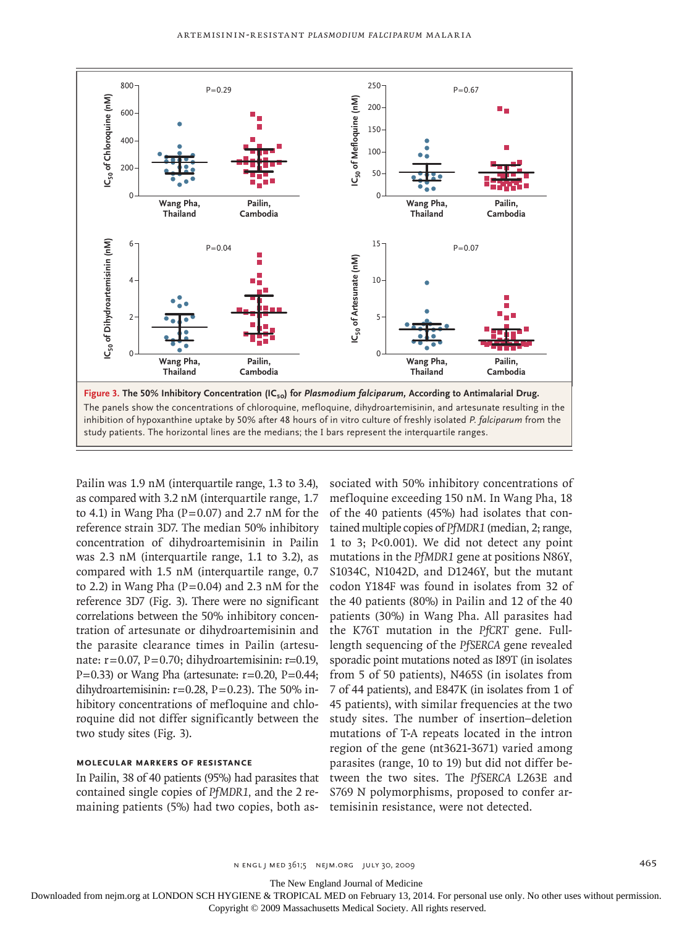

Pailin was 1.9 nM (interquartile range, 1.3 to 3.4), as compared with 3.2 nM (interquartile range, 1.7 to 4.1) in Wang Pha ( $P=0.07$ ) and 2.7 nM for the reference strain 3D7. The median 50% inhibitory tained multiple concentration of dihydroartemisinin in Pailin was 2.3 nM (interquartile range, 1.1 to 3.2), as compared with 1.5 nM (interquartile range, 0.7 to 2.2) in Wang Pha  $(P=0.04)$  and 2.3 nM for the reference 3D7 (Fig. 3). There were no significant correlations between the 50% inhibitory concentration of artesunate or dihydroartemisinin and the parasite clearance times in Pailin (artesunate:  $r=0.07$ ,  $P=0.70$ ; dihydroartemisinin:  $r=0.19$ ,  $P=0.33$ ) or Wang Pha (artesunate:  $r=0.20$ ,  $P=0.44$ ; dihydroartemisinin:  $r=0.28$ ,  $P=0.23$ ). The 50% inhibitory concentrations of mefloquine and chloroquine did not differ significantly between the two study sites (Fig. 3).

# **Molecular Markers of Resistance**

In Pailin, 38 of 40 patients (95%) had parasites that contained single copies of *PfMDR1,* and the 2 remaining patients (5%) had two copies, both as-temisinin resistance, were not detected.

ange, 1.3 to 3.4), sociated with 50% inhibitory concentrations of ge, 1.7 mefloquine exceeding 150 nM. In Wang Pha, 18 of the 40 patients (45%) had isolates that contained multiple copies of PfMDR1 (median, 2; range, 1 to 3; P<0.001). We did not detect any point mutations in the *PfMDR1* gene at positions N86Y, S1034C, N1042D, and D1246Y, but the mutant codon Y184F was found in isolates from 32 of the 40 patients (80%) in Pailin and 12 of the 40 patients (30%) in Wang Pha. All parasites had the K76T mutation in the *PfCRT* gene. Fulllength sequencing of the *PfSERCA* gene revealed sporadic point mutations noted as I89T (in isolates from 5 of 50 patients), N465S (in isolates from 7 of 44 patients), and E847K (in isolates from 1 of 45 patients), with similar frequencies at the two study sites. The number of insertion–deletion mutations of T-A repeats located in the intron region of the gene (nt3621-3671) varied among parasites (range, 10 to 19) but did not differ between the two sites. The *PfSERCA* L263E and S769 N polymorphisms, proposed to confer ar-

n engl j med 361;5 nejm.org july 30, 2009 465

The New England Journal of Medicine

Downloaded from nejm.org at LONDON SCH HYGIENE & TROPICAL MED on February 13, 2014. For personal use only. No other uses without permission.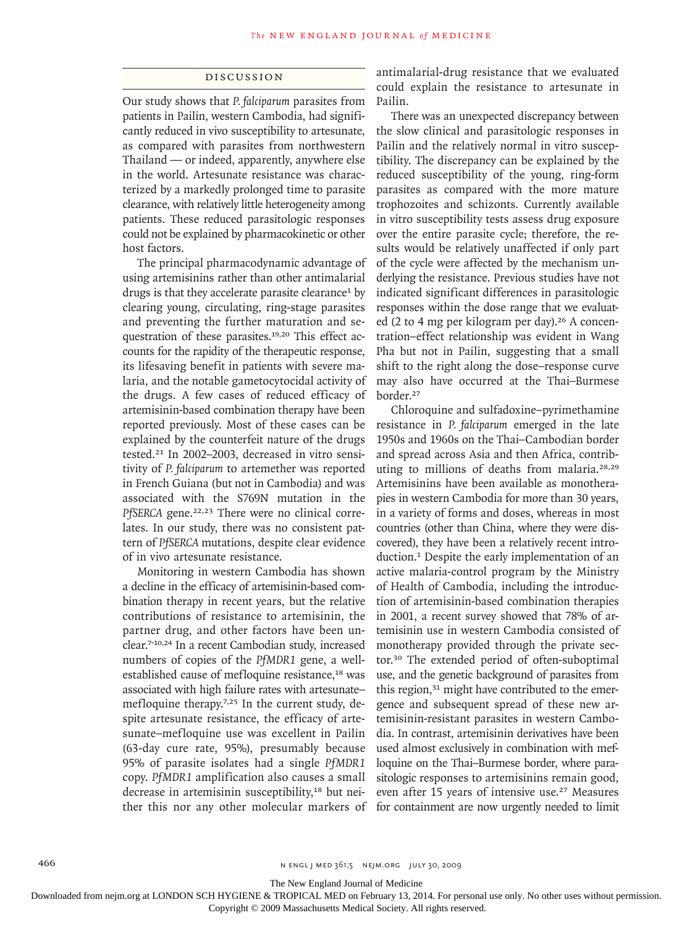# Discussion

Our study shows that *P. falciparum* parasites from patients in Pailin, western Cambodia, had significantly reduced in vivo susceptibility to artesunate, as compared with parasites from northwestern Thailand — or indeed, apparently, anywhere else in the world. Artesunate resistance was characterized by a markedly prolonged time to parasite clearance, with relatively little heterogeneity among patients. These reduced parasitologic responses could not be explained by pharmacokinetic or other host factors.

The principal pharmacodynamic advantage of using artemisinins rather than other antimalarial drugs is that they accelerate parasite clearance<sup>1</sup> by clearing young, circulating, ring-stage parasites and preventing the further maturation and sequestration of these parasites.<sup>19,20</sup> This effect accounts for the rapidity of the therapeutic response, its lifesaving benefit in patients with severe malaria, and the notable gametocytocidal activity of the drugs. A few cases of reduced efficacy of artemisinin-based combination therapy have been reported previously. Most of these cases can be explained by the counterfeit nature of the drugs tested.21 In 2002–2003, decreased in vitro sensitivity of *P. falciparum* to artemether was reported in French Guiana (but not in Cambodia) and was associated with the S769N mutation in the PfSERCA gene.<sup>22,23</sup> There were no clinical correlates. In our study, there was no consistent pattern of *PfSERCA* mutations, despite clear evidence of in vivo artesunate resistance.

Monitoring in western Cambodia has shown a decline in the efficacy of artemisinin-based combination therapy in recent years, but the relative contributions of resistance to artemisinin, the partner drug, and other factors have been unclear.7-10,24 In a recent Cambodian study, increased numbers of copies of the *PfMDR1* gene, a wellestablished cause of mefloquine resistance,<sup>18</sup> was associated with high failure rates with artesunate– mefloquine therapy.<sup>7,25</sup> In the current study, despite artesunate resistance, the efficacy of artesunate–mefloquine use was excellent in Pailin (63-day cure rate, 95%), presumably because 95% of parasite isolates had a single *PfMDR1* copy. *PfMDR1* amplification also causes a small decrease in artemisinin susceptibility,<sup>18</sup> but neither this nor any other molecular markers of antimalarial-drug resistance that we evaluated could explain the resistance to artesunate in Pailin.

There was an unexpected discrepancy between the slow clinical and parasitologic responses in Pailin and the relatively normal in vitro susceptibility. The discrepancy can be explained by the reduced susceptibility of the young, ring-form parasites as compared with the more mature trophozoites and schizonts. Currently available in vitro susceptibility tests assess drug exposure over the entire parasite cycle; therefore, the results would be relatively unaffected if only part of the cycle were affected by the mechanism underlying the resistance. Previous studies have not indicated significant differences in parasitologic responses within the dose range that we evaluated (2 to 4 mg per kilogram per day).<sup>26</sup> A concentration–effect relationship was evident in Wang Pha but not in Pailin, suggesting that a small shift to the right along the dose–response curve may also have occurred at the Thai–Burmese border.<sup>27</sup>

Chloroquine and sulfadoxine–pyrimethamine resistance in *P. falciparum* emerged in the late 1950s and 1960s on the Thai–Cambodian border and spread across Asia and then Africa, contributing to millions of deaths from malaria.28,29 Artemisinins have been available as monotherapies in western Cambodia for more than 30 years, in a variety of forms and doses, whereas in most countries (other than China, where they were discovered), they have been a relatively recent introduction.<sup>1</sup> Despite the early implementation of an active malaria-control program by the Ministry of Health of Cambodia, including the introduction of artemisinin-based combination therapies in 2001, a recent survey showed that 78% of artemisinin use in western Cambodia consisted of monotherapy provided through the private sector.30 The extended period of often-suboptimal use, and the genetic background of parasites from this region,<sup>31</sup> might have contributed to the emergence and subsequent spread of these new artemisinin-resistant parasites in western Cambodia. In contrast, artemisinin derivatives have been used almost exclusively in combination with mefloquine on the Thai–Burmese border, where parasitologic responses to artemisinins remain good, even after 15 years of intensive use.<sup>27</sup> Measures for containment are now urgently needed to limit

The New England Journal of Medicine

Downloaded from nejm.org at LONDON SCH HYGIENE & TROPICAL MED on February 13, 2014. For personal use only. No other uses without permission.